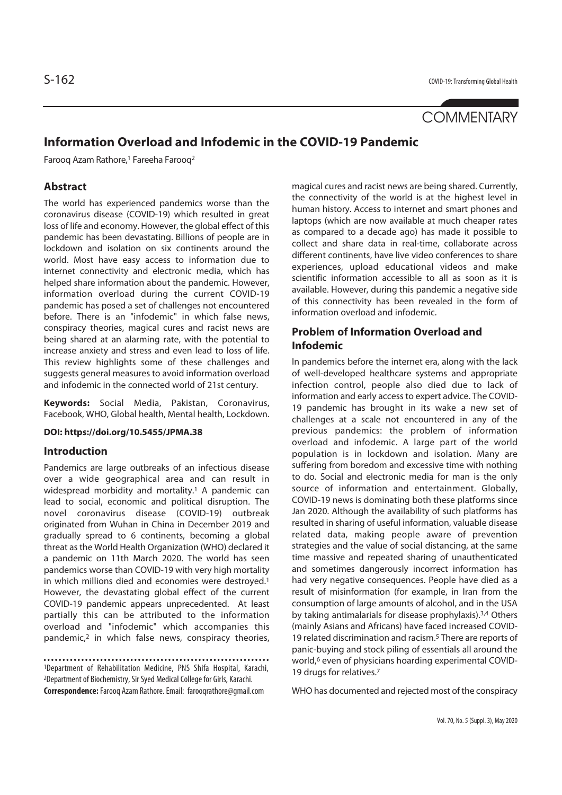# **COMMENTARY**

## **Information Overload and Infodemic in the COVID-19 Pandemic**

Faroog Azam Rathore,<sup>1</sup> Fareeha Faroog<sup>2</sup>

#### **Abstract**

The world has experienced pandemics worse than the coronavirus disease (COVID-19) which resulted in great loss of life and economy. However, the global effect of this pandemic has been devastating. Billions of people are in lockdown and isolation on six continents around the world. Most have easy access to information due to internet connectivity and electronic media, which has helped share information about the pandemic. However, information overload during the current COVID-19 pandemic has posed a set of challenges not encountered before. There is an "infodemic" in which false news, conspiracy theories, magical cures and racist news are being shared at an alarming rate, with the potential to increase anxiety and stress and even lead to loss of life. This review highlights some of these challenges and suggests general measures to avoid information overload and infodemic in the connected world of 21st century.

**Keywords:** Social Media, Pakistan, Coronavirus, Facebook, WHO, Global health, Mental health, Lockdown.

**DOI: https://doi.org/10.5455/JPMA.38**

#### **Introduction**

Pandemics are large outbreaks of an infectious disease over a wide geographical area and can result in widespread morbidity and mortality.<sup>1</sup> A pandemic can lead to social, economic and political disruption. The novel coronavirus disease (COVID-19) outbreak originated from Wuhan in China in December 2019 and gradually spread to 6 continents, becoming a global threat as the World Health Organization (WHO) declared it a pandemic on 11th March 2020. The world has seen pandemics worse than COVID-19 with very high mortality in which millions died and economies were destroyed.1 However, the devastating global effect of the current COVID-19 pandemic appears unprecedented. At least partially this can be attributed to the information overload and "infodemic" which accompanies this pandemic,2 in which false news, conspiracy theories,

1Department of Rehabilitation Medicine, PNS Shifa Hospital, Karachi, 2Department of Biochemistry, Sir Syed Medical College for Girls, Karachi. **Correspondence:** Farooq Azam Rathore. Email: farooqrathore@gmail.com

magical cures and racist news are being shared. Currently, the connectivity of the world is at the highest level in human history. Access to internet and smart phones and laptops (which are now available at much cheaper rates as compared to a decade ago) has made it possible to collect and share data in real-time, collaborate across different continents, have live video conferences to share experiences, upload educational videos and make scientific information accessible to all as soon as it is available. However, during this pandemic a negative side of this connectivity has been revealed in the form of information overload and infodemic.

#### **Problem of Information Overload and Infodemic**

In pandemics before the internet era, along with the lack of well-developed healthcare systems and appropriate infection control, people also died due to lack of information and early access to expert advice. The COVID-19 pandemic has brought in its wake a new set of challenges at a scale not encountered in any of the previous pandemics: the problem of information overload and infodemic. A large part of the world population is in lockdown and isolation. Many are suffering from boredom and excessive time with nothing to do. Social and electronic media for man is the only source of information and entertainment. Globally, COVID-19 news is dominating both these platforms since Jan 2020. Although the availability of such platforms has resulted in sharing of useful information, valuable disease related data, making people aware of prevention strategies and the value of social distancing, at the same time massive and repeated sharing of unauthenticated and sometimes dangerously incorrect information has had very negative consequences. People have died as a result of misinformation (for example, in Iran from the consumption of large amounts of alcohol, and in the USA by taking antimalarials for disease prophylaxis).3,4 Others (mainly Asians and Africans) have faced increased COVID-19 related discrimination and racism.5 There are reports of panic-buying and stock piling of essentials all around the world,<sup>6</sup> even of physicians hoarding experimental COVID-19 drugs for relatives.7

WHO has documented and rejected most of the conspiracy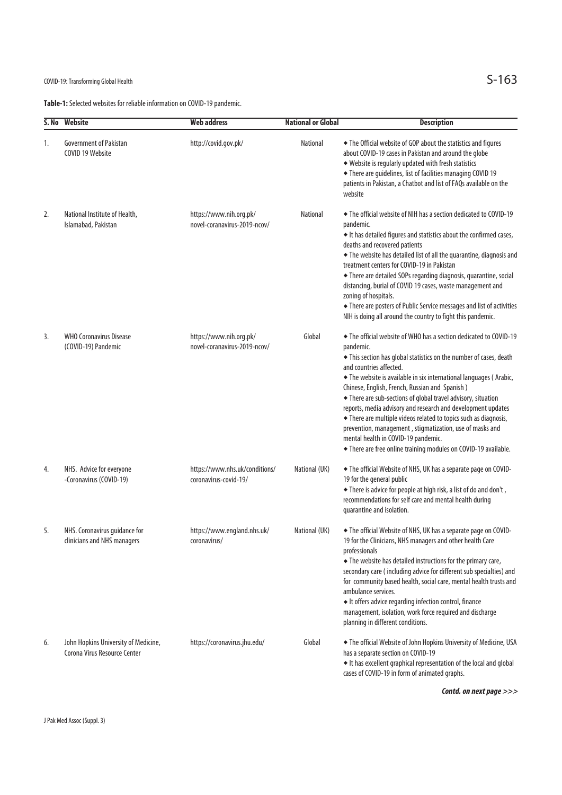## COVID-19: Transforming Global Health  $S-163$

**Table-1:** Selected websites for reliable information on COVID-19 pandemic.

|    | S. No Website                                                        | <b>Web address</b>                                      | <b>National or Global</b> | <b>Description</b>                                                                                                                                                                                                                                                                                                                                                                                                                                                                                                                                                                                                                                                                 |
|----|----------------------------------------------------------------------|---------------------------------------------------------|---------------------------|------------------------------------------------------------------------------------------------------------------------------------------------------------------------------------------------------------------------------------------------------------------------------------------------------------------------------------------------------------------------------------------------------------------------------------------------------------------------------------------------------------------------------------------------------------------------------------------------------------------------------------------------------------------------------------|
| 1. | <b>Government of Pakistan</b><br>COVID 19 Website                    | http://covid.gov.pk/                                    | <b>National</b>           | • The Official website of GOP about the statistics and figures<br>about COVID-19 cases in Pakistan and around the globe<br>◆ Website is regularly updated with fresh statistics<br>• There are guidelines, list of facilities managing COVID 19<br>patients in Pakistan, a Chatbot and list of FAQs available on the<br>website                                                                                                                                                                                                                                                                                                                                                    |
| 2. | National Institute of Health,<br>Islamabad, Pakistan                 | https://www.nih.org.pk/<br>novel-coranavirus-2019-ncov/ | <b>National</b>           | • The official website of NIH has a section dedicated to COVID-19<br>pandemic.<br>It has detailed figures and statistics about the confirmed cases,<br>deaths and recovered patients<br>• The website has detailed list of all the quarantine, diagnosis and<br>treatment centers for COVID-19 in Pakistan<br>• There are detailed SOPs regarding diagnosis, quarantine, social<br>distancing, burial of COVID 19 cases, waste management and<br>zoning of hospitals.<br>• There are posters of Public Service messages and list of activities<br>NIH is doing all around the country to fight this pandemic.                                                                      |
| 3. | <b>WHO Coronavirus Disease</b><br>(COVID-19) Pandemic                | https://www.nih.org.pk/<br>novel-coranavirus-2019-ncov/ | Global                    | • The official website of WHO has a section dedicated to COVID-19<br>pandemic.<br>• This section has global statistics on the number of cases, death<br>and countries affected.<br>• The website is available in six international languages (Arabic,<br>Chinese, English, French, Russian and Spanish)<br>• There are sub-sections of global travel advisory, situation<br>reports, media advisory and research and development updates<br>• There are multiple videos related to topics such as diagnosis,<br>prevention, management, stigmatization, use of masks and<br>mental health in COVID-19 pandemic.<br>• There are free online training modules on COVID-19 available. |
| 4. | NHS. Advice for everyone<br>-Coronavirus (COVID-19)                  | https://www.nhs.uk/conditions/<br>coronavirus-covid-19/ | National (UK)             | • The official Website of NHS, UK has a separate page on COVID-<br>19 for the general public<br>+ There is advice for people at high risk, a list of do and don't,<br>recommendations for self care and mental health during<br>quarantine and isolation.                                                                                                                                                                                                                                                                                                                                                                                                                          |
| 5. | NHS. Coronavirus guidance for<br>clinicians and NHS managers         | https://www.england.nhs.uk/<br>coronavirus/             | National (UK)             | • The official Website of NHS, UK has a separate page on COVID-<br>19 for the Clinicians, NHS managers and other health Care<br>professionals<br>• The website has detailed instructions for the primary care,<br>secondary care (including advice for different sub specialties) and<br>for community based health, social care, mental health trusts and<br>ambulance services.<br>It offers advice regarding infection control, finance<br>management, isolation, work force required and discharge<br>planning in different conditions.                                                                                                                                        |
| 6. | John Hopkins University of Medicine,<br>Corona Virus Resource Center | https://coronavirus.jhu.edu/                            | Global                    | • The official Website of John Hopkins University of Medicine, USA<br>has a separate section on COVID-19<br>It has excellent graphical representation of the local and global<br>cases of COVID-19 in form of animated graphs.                                                                                                                                                                                                                                                                                                                                                                                                                                                     |

**Contd. on next page >>>**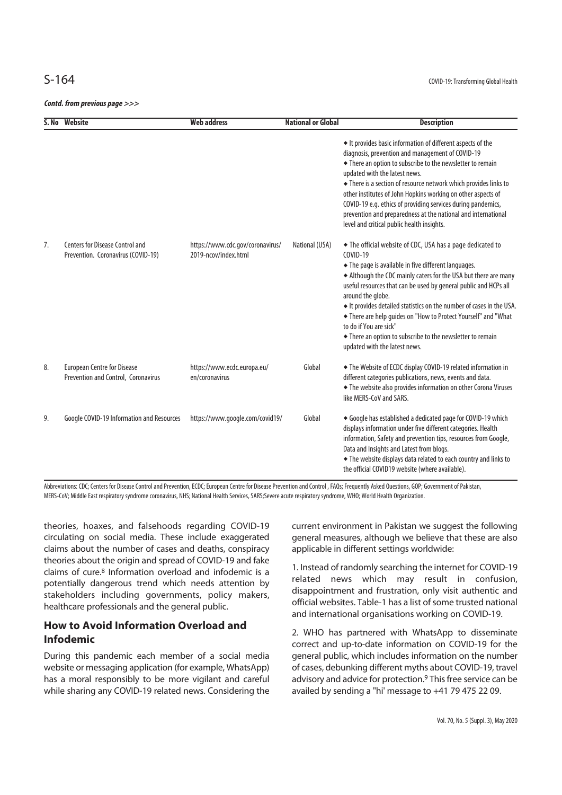**Contd. from previous page >>>**

|    | S. No Website                                                             | <b>Web address</b>                                       | <b>National or Global</b> | <b>Description</b>                                                                                                                                                                                                                                                                                                                                                                                                                                                                                                                                        |
|----|---------------------------------------------------------------------------|----------------------------------------------------------|---------------------------|-----------------------------------------------------------------------------------------------------------------------------------------------------------------------------------------------------------------------------------------------------------------------------------------------------------------------------------------------------------------------------------------------------------------------------------------------------------------------------------------------------------------------------------------------------------|
|    |                                                                           |                                                          |                           | It provides basic information of different aspects of the<br>diagnosis, prevention and management of COVID-19<br>• There an option to subscribe to the newsletter to remain<br>updated with the latest news.<br>• There is a section of resource network which provides links to<br>other institutes of John Hopkins working on other aspects of<br>COVID-19 e.g. ethics of providing services during pandemics,<br>prevention and preparedness at the national and international<br>level and critical public health insights.                           |
| 7. | Centers for Disease Control and<br>Prevention. Coronavirus (COVID-19)     | https://www.cdc.gov/coronavirus/<br>2019-ncov/index.html | National (USA)            | • The official website of CDC, USA has a page dedicated to<br>COVID-19<br>• The page is available in five different languages.<br>Although the CDC mainly caters for the USA but there are many<br>useful resources that can be used by general public and HCPs all<br>around the globe.<br>It provides detailed statistics on the number of cases in the USA.<br>• There are help guides on "How to Protect Yourself" and "What<br>to do if You are sick"<br>• There an option to subscribe to the newsletter to remain<br>updated with the latest news. |
| 8. | <b>European Centre for Disease</b><br>Prevention and Control, Coronavirus | https://www.ecdc.europa.eu/<br>en/coronavirus            | Global                    | • The Website of ECDC display COVID-19 related information in<br>different categories publications, news, events and data.<br>• The website also provides information on other Corona Viruses<br>like MERS-CoV and SARS.                                                                                                                                                                                                                                                                                                                                  |
| 9. | Google COVID-19 Information and Resources                                 | https://www.google.com/covid19/                          | Global                    | Google has established a dedicated page for COVID-19 which<br>displays information under five different categories. Health<br>information, Safety and prevention tips, resources from Google,<br>Data and Insights and Latest from blogs.<br>• The website displays data related to each country and links to<br>the official COVID19 website (where available).                                                                                                                                                                                          |

Abbreviations: CDC; Centers for Disease Control and Prevention, ECDC; European Centre for Disease Prevention and Control , FAQs; Frequently Asked Questions, GOP; Government of Pakistan, MERS-CoV; Middle East respiratory syndrome coronavirus, NHS; National Health Services, SARS;Severe acute respiratory syndrome, WHO; World Health Organization.

theories, hoaxes, and falsehoods regarding COVID-19 circulating on social media. These include exaggerated claims about the number of cases and deaths, conspiracy theories about the origin and spread of COVID-19 and fake claims of cure.8 Information overload and infodemic is a potentially dangerous trend which needs attention by stakeholders including governments, policy makers, healthcare professionals and the general public.

### **How to Avoid Information Overload and Infodemic**

During this pandemic each member of a social media website or messaging application (for example, WhatsApp) has a moral responsibly to be more vigilant and careful while sharing any COVID-19 related news. Considering the current environment in Pakistan we suggest the following general measures, although we believe that these are also applicable in different settings worldwide:

1. Instead of randomly searching the internet for COVID-19 related news which may result in confusion, disappointment and frustration, only visit authentic and official websites. Table-1 has a list of some trusted national and international organisations working on COVID-19.

2. WHO has partnered with WhatsApp to disseminate correct and up-to-date information on COVID-19 for the general public, which includes information on the number of cases, debunking different myths about COVID-19, travel advisory and advice for protection.<sup>9</sup> This free service can be availed by sending a "hi' message to +41 79 475 22 09.